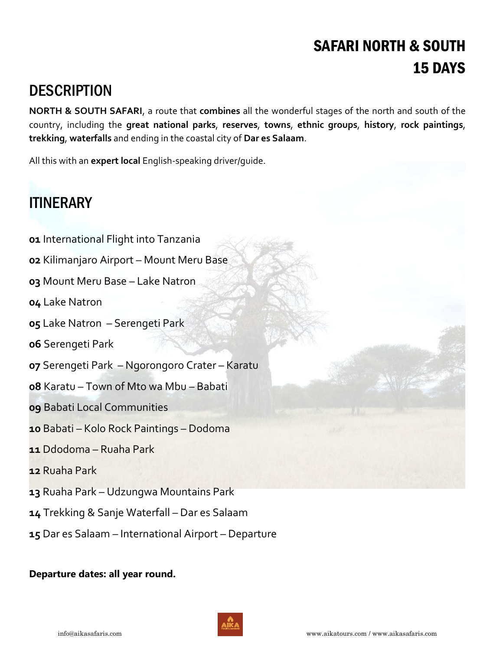# SAFARI NORTH & SOUTH DAYS

## **DESCRIPTION**

**NORTH & SOUTH SAFARI**, a route that **combines** all the wonderful stages of the north and south of the country, including the **great national parks**, **reserves**, **towns**, **ethnic groups**, **history**, **rock paintings**, **trekking**, **waterfalls** and ending in the coastal city of **Dar es Salaam**.

All this with an **expert local** English-speaking driver/guide.

# **ITINERARY**

- International Flight into Tanzania
- Kilimanjaro Airport Mount Meru Base
- Mount Meru Base Lake Natron
- Lake Natron
- Lake Natron Serengeti Park
- Serengeti Park
- Serengeti Park Ngorongoro Crater Karatu
- Karatu Town of Mto wa Mbu Babati
- Babati Local Communities
- Babati Kolo Rock Paintings Dodoma
- Ddodoma Ruaha Park
- Ruaha Park
- Ruaha Park Udzungwa Mountains Park
- Trekking & Sanje Waterfall Dar es Salaam
- Dar es Salaam International Airport Departure

### **Departure dates: all year round.**

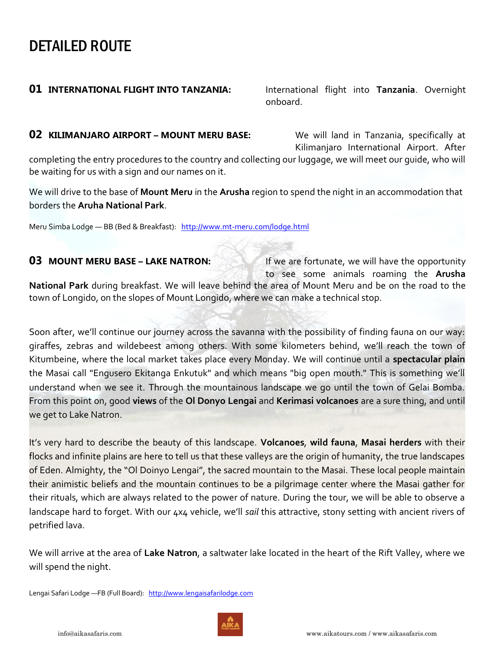## DETAILED ROUTE

**01 INTERNATIONAL FLIGHT INTO TANZANIA:** International flight into **Tanzania**. Overnight onboard. The contract of the contract of the contract of the contract of the contract of the contract of the c

### **02 KILIMANJARO AIRPORT – MOUNT MERU BASE:** We will land in Tanzania, specifically at

Kilimanjaro International Airport. After

completing the entry procedures to the country and collecting our luggage, we will meet our guide, who will be waiting for us with a sign and our names on it.

We will drive to the base of **Mount Meru** in the **Arusha** region to spend the night in an accommodation that borders the **Aruha National Park**.

Meru Simba Lodge — BB (Bed & Breakfast): <http://www.mt-meru.com/lodge.html>

### **03 MOUNT MERU BASE – LAKE NATRON:** If we are fortunate, we will have the opportunity

 to see some animals roaming the **Arusha National Park** during breakfast. We will leave behind the area of Mount Meru and be on the road to the

town of Longido, on the slopes of Mount Longido, where we can make a technical stop.

Soon after, we'll continue our journey across the savanna with the possibility of finding fauna on our way: giraffes, zebras and wildebeest among others. With some kilometers behind, we'll reach the town of Kitumbeine, where the local market takes place every Monday. We will continue until a **spectacular plain** the Masai call "Engusero Ekitanga Enkutuk" and which means "big open mouth." This is something we'll understand when we see it. Through the mountainous landscape we go until the town of Gelai Bomba. From this point on, good **views** of the **Ol Donyo Lengai** and **Kerimasi volcanoes** are a sure thing, and until we get to Lake Natron.

It's very hard to describe the beauty of this landscape. **Volcanoes**, **wild fauna**, **Masai herders** with their flocks and infinite plains are here to tell us that these valleys are the origin of humanity, the true landscapes of Eden. Almighty, the "Ol Doinyo Lengai", the sacred mountain to the Masai. These local people maintain their animistic beliefs and the mountain continues to be a pilgrimage center where the Masai gather for their rituals, which are always related to the power of nature. During the tour, we will be able to observe a landscape hard to forget. With our 4x4 vehicle, we'll *sail* this attractive, stony setting with ancient rivers of petrified lava.

We will arrive at the area of **Lake Natron**, a saltwater lake located in the heart of the Rift Valley, where we will spend the night.

Lengai Safari Lodge - FB (Full Board): [http://www.lengaisafarilodge.com](http://www.lengaisafarilodge.com/)

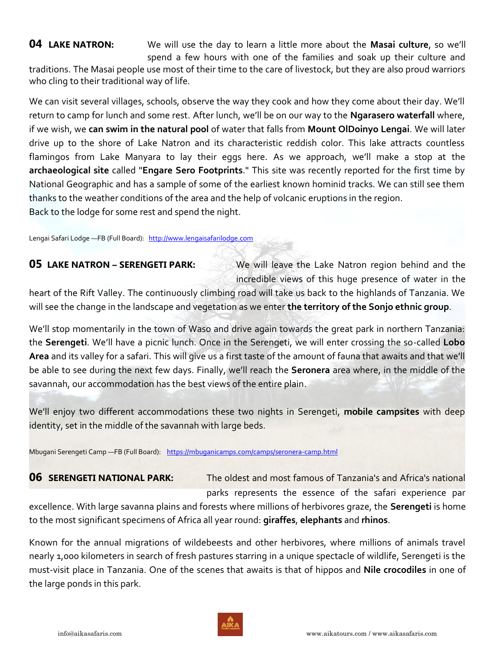**04 LAKE NATRON:** We will use the day to learn a little more about the **Masai culture**, so we'll spend a few hours with one of the families and soak up their culture and

traditions. The Masai people use most of their time to the care of livestock, but they are also proud warriors who cling to their traditional way of life.

We can visit several villages, schools, observe the way they cook and how they come about their day. We'll return to camp for lunch and some rest. After lunch, we'll be on our way to the **Ngarasero waterfall** where, if we wish, we **can swim in the natural pool** of water that falls from **Mount OlDoinyo Lengai**. We will later drive up to the shore of Lake Natron and its characteristic reddish color. This lake attracts countless flamingos from Lake Manyara to lay their eggs here. As we approach, we'll make a stop at the **archaeological site** called "**Engare Sero Footprints**." This site was recently reported for the first time by National Geographic and has a sample of some of the earliest known hominid tracks. We can still see them thanks to the weather conditions of the area and the help of volcanic eruptions in the region. Back to the lodge for some rest and spend the night.

Lengai Safari Lodge - FB (Full Board): [http://www.lengaisafarilodge.com](http://www.lengaisafarilodge.com/)

**05 LAKE NATRON – SERENGETI PARK:** We will leave the Lake Natron region behind and the incredible views of this huge presence of water in the

heart of the Rift Valley. The continuously climbing road will take us back to the highlands of Tanzania. We will see the change in the landscape and vegetation as we enter **the territory of the Sonjo ethnic group**.

We'll stop momentarily in the town of Waso and drive again towards the great park in northern Tanzania: the **Serengeti**. We'll have a picnic lunch. Once in the Serengeti, we will enter crossing the so-called **Lobo Area** and its valley for a safari. This will give us a first taste of the amount of fauna that awaits and that we'll be able to see during the next few days. Finally, we'll reach the **Seronera** area where, in the middle of the savannah, our accommodation has the best views of the entire plain.

We'll enjoy two different accommodations these two nights in Serengeti, **mobile campsites** with deep identity, set in the middle of the savannah with large beds.

Mbugani Serengeti Camp -FB (Full Board): <https://mbuganicamps.com/camps/seronera-camp.html>

**06 SERENGETI NATIONAL PARK:** The oldest and most famous of Tanzania's and Africa's national parks represents the essence of the safari experience par excellence. With large savanna plains and forests where millions of herbivores graze, the **Serengeti** is home to the most significant specimens of Africa all year round: **giraffes**, **elephants** and **rhinos**.

Known for the annual migrations of wildebeests and other herbivores, where millions of animals travel nearly 1,000 kilometers in search of fresh pastures starring in a unique spectacle of wildlife, Serengeti is the must-visit place in Tanzania. One of the scenes that awaits is that of hippos and **Nile crocodiles** in one of the large ponds in this park.

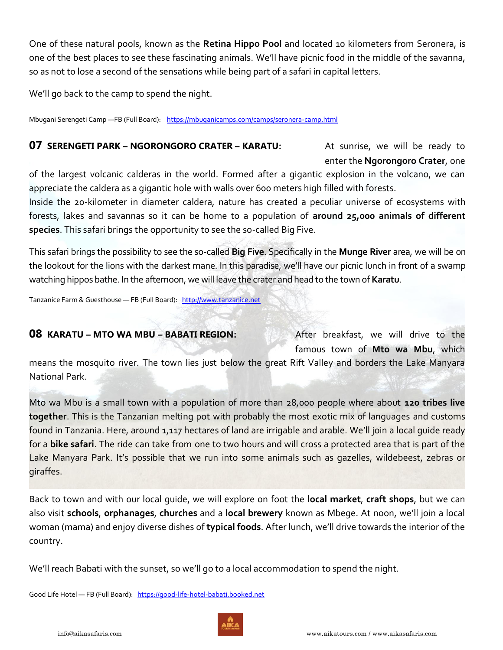One of these natural pools, known as the **Retina Hippo Pool** and located 10 kilometers from Seronera, is one of the best places to see these fascinating animals. We'll have picnic food in the middle of the savanna, so as not to lose a second of the sensations while being part of a safari in capital letters.

We'll go back to the camp to spend the night.

Mbugani Serengeti Camp —FB (Full Board): <https://mbuganicamps.com/camps/seronera-camp.html>

### **07 SERENGETI PARK – NGORONGORO CRATER – KARATU:** At sunrise, we will be ready to

enter the **Ngorongoro Crater**, one

of the largest volcanic calderas in the world. Formed after a gigantic explosion in the volcano, we can appreciate the caldera as a gigantic hole with walls over 600 meters high filled with forests.

Inside the 20-kilometer in diameter caldera, nature has created a peculiar universe of ecosystems with forests, lakes and savannas so it can be home to a population of **around 25,000 animals of different species**. This safari brings the opportunity to see the so-called Big Five.

This safari brings the possibility to see the so-called **Big Five**. Specifically in the **Munge River** area, we will be on the lookout for the lions with the darkest mane. In this paradise, we'll have our picnic lunch in front of a swamp watching hippos bathe. In the afternoon, we will leave the crater and head to the town of **Karatu**.

Tanzanice Farm & Guesthouse — FB (Full Board): [http://www.tanzanice.net](http://www.tanzanice.net/)

### **08** KARATU – MTO WA MBU – BABATI REGION: After breakfast, we will drive to the

famous town of **Mto wa Mbu**, which

means the mosquito river. The town lies just below the great Rift Valley and borders the Lake Manyara National Park.

Mto wa Mbu is a small town with a population of more than 28,000 people where about **120 tribes live together**. This is the Tanzanian melting pot with probably the most exotic mix of languages and customs found in Tanzania. Here, around 1,117 hectares of land are irrigable and arable. We'll join a local guide ready for a **bike safari**. The ride can take from one to two hours and will cross a protected area that is part of the Lake Manyara Park. It's possible that we run into some animals such as gazelles, wildebeest, zebras or giraffes.

Back to town and with our local guide, we will explore on foot the **local market**, **craft shops**, but we can also visit **schools**, **orphanages**, **churches** and a **local brewery** known as Mbege. At noon, we'll join a local woman (mama) and enjoy diverse dishes of **typical foods**. After lunch, we'll drive towards the interior of the country.

We'll reach Babati with the sunset, so we'll go to a local accommodation to spend the night.

Good Life Hotel - FB (Full Board): [https://good-life-hotel-babati.booked.net](https://good-life-hotel-babati.booked.net/)

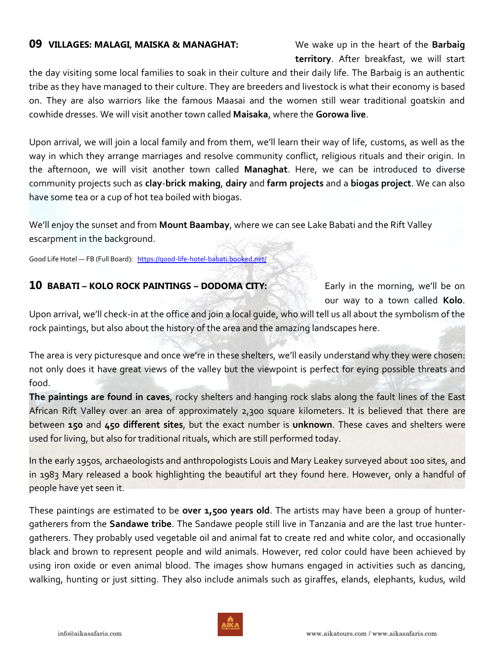### **09 VILLAGES: MALAGI, MAISKA & MANAGHAT:** We wake up in the heart of the **Barbaig**

**territory**. After breakfast, we will start

the day visiting some local families to soak in their culture and their daily life. The Barbaig is an authentic tribe as they have managed to their culture. They are breeders and livestock is what their economy is based on. They are also warriors like the famous Maasai and the women still wear traditional goatskin and cowhide dresses. We will visit another town called **Maisaka**, where the **Gorowa live**.

Upon arrival, we will join a local family and from them, we'll learn their way of life, customs, as well as the way in which they arrange marriages and resolve community conflict, religious rituals and their origin. In the afternoon, we will visit another town called **Managhat**. Here, we can be introduced to diverse community projects such as **clay**-**brick making**, **dairy** and **farm projects** and a **biogas project**. We can also have some tea or a cup of hot tea boiled with biogas.

We'll enjoy the sunset and from **Mount Baambay**, where we can see Lake Babati and the Rift Valley escarpment in the background.

Good Life Hotel — FB (Full Board): <https://good-life-hotel-babati.booked.net/>

### **10 BABATI – KOLO ROCK PAINTINGS – DODOMA CITY:** Early in the morning, we'll be on

our way to a town called **Kolo**.

Upon arrival, we'll check-in at the office and join a local guide, who will tell us all about the symbolism of the rock paintings, but also about the history of the area and the amazing landscapes here.

The area is very picturesque and once we're in these shelters, we'll easily understand why they were chosen: not only does it have great views of the valley but the viewpoint is perfect for eying possible threats and food.

**The paintings are found in caves**, rocky shelters and hanging rock slabs along the fault lines of the East African Rift Valley over an area of approximately 2,300 square kilometers. It is believed that there are between **150** and **450 different sites**, but the exact number is **unknown**. These caves and shelters were used for living, but also for traditional rituals, which are still performed today.

In the early 1950s, archaeologists and anthropologists Louis and Mary Leakey surveyed about 100 sites, and in 1983 Mary released a book highlighting the beautiful art they found here. However, only a handful of people have yet seen it.

These paintings are estimated to be **over 1,500 years old**. The artists may have been a group of huntergatherers from the **Sandawe tribe**. The Sandawe people still live in Tanzania and are the last true huntergatherers. They probably used vegetable oil and animal fat to create red and white color, and occasionally black and brown to represent people and wild animals. However, red color could have been achieved by using iron oxide or even animal blood. The images show humans engaged in activities such as dancing, walking, hunting or just sitting. They also include animals such as giraffes, elands, elephants, kudus, wild

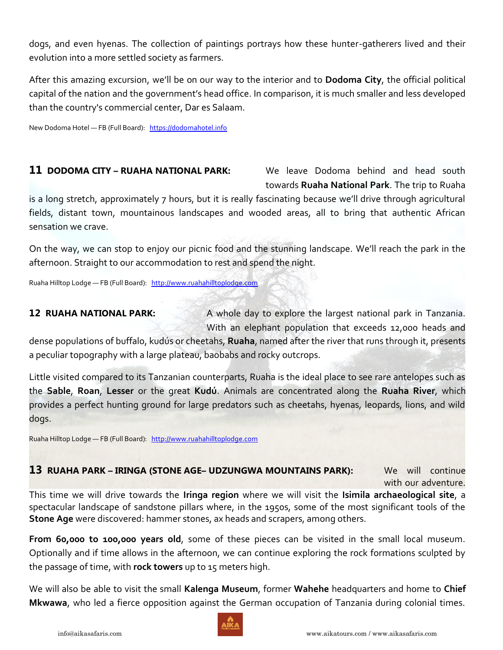dogs, and even hyenas. The collection of paintings portrays how these hunter-gatherers lived and their evolution into a more settled society as farmers.

After this amazing excursion, we'll be on our way to the interior and to **Dodoma City**, the official political capital of the nation and the government's head office. In comparison, it is much smaller and less developed than the country's commercial center, Dar es Salaam.

New Dodoma Hotel — FB (Full Board): [https://dodomahotel.info](https://dodomahotel.info/)

### **11 DODOMA CITY – RUAHA NATIONAL PARK:** We leave Dodoma behind and head south

towards **Ruaha National Park**. The trip to Ruaha

is a long stretch, approximately 7 hours, but it is really fascinating because we'll drive through agricultural fields, distant town, mountainous landscapes and wooded areas, all to bring that authentic African sensation we crave.

On the way, we can stop to enjoy our picnic food and the stunning landscape. We'll reach the park in the afternoon. Straight to our accommodation to rest and spend the night.

Ruaha Hilltop Lodge - FB (Full Board): [http://www.ruahahilltoplodge.com](http://www.ruahahilltoplodge.com/)

**12 RUAHA NATIONAL PARK:** A whole day to explore the largest national park in Tanzania. With an elephant population that exceeds 12,000 heads and

dense populations of buffalo, kudús or cheetahs, **Ruaha**, named after the river that runs through it, presents a peculiar topography with a large plateau, baobabs and rocky outcrops.

Little visited compared to its Tanzanian counterparts, Ruaha is the ideal place to see rare antelopes such as the **Sable**, **Roan**, **Lesser** or the great **Kudú**. Animals are concentrated along the **Ruaha River**, which provides a perfect hunting ground for large predators such as cheetahs, hyenas, leopards, lions, and wild dogs.

Ruaha Hilltop Lodge - FB (Full Board): [http://www.ruahahilltoplodge.com](http://www.ruahahilltoplodge.com/)

### **13 RUAHA PARK – IRINGA (STONE AGE– UDZUNGWA MOUNTAINS PARK):** We will continue

with our adventure.

This time we will drive towards the **Iringa region** where we will visit the **Isimila archaeological site**, a spectacular landscape of sandstone pillars where, in the 1950s, some of the most significant tools of the **Stone Age** were discovered: hammer stones, ax heads and scrapers, among others.

**From 60,000 to 100,000 years old**, some of these pieces can be visited in the small local museum. Optionally and if time allows in the afternoon, we can continue exploring the rock formations sculpted by the passage of time, with **rock towers** up to 15 meters high.

We will also be able to visit the small **Kalenga Museum**, former **Wahehe** headquarters and home to **Chief Mkwawa**, who led a fierce opposition against the German occupation of Tanzania during colonial times.

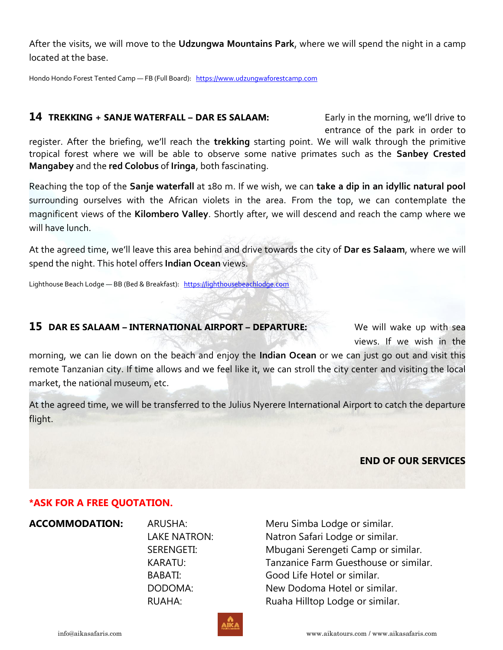After the visits, we will move to the **Udzungwa Mountains Park**, where we will spend the night in a camp located at the base.

Hondo Hondo Forest Tented Camp — FB (Full Board): [https://www.udzungwaforestcamp.com](https://www.udzungwaforestcamp.com/)

#### **14 TREKKING + SANJE WATERFALL – DAR ES SALAAM:** Early in the morning, we'll drive to

entrance of the park in order to

register. After the briefing, we'll reach the **trekking** starting point. We will walk through the primitive tropical forest where we will be able to observe some native primates such as the **Sanbey Crested Mangabey** and the **red Colobus** of **Iringa**, both fascinating.

Reaching the top of the **Sanje waterfall** at 180 m. If we wish, we can **take a dip in an idyllic natural pool** surrounding ourselves with the African violets in the area. From the top, we can contemplate the magnificent views of the **Kilombero Valley**. Shortly after, we will descend and reach the camp where we will have lunch.

At the agreed time, we'll leave this area behind and drive towards the city of **Dar es Salaam**, where we will spend the night. This hotel offers **Indian Ocean** views.

Lighthouse Beach Lodge - BB (Bed & Breakfast): [https://lighthousebeachlodge.com](https://lighthousebeachlodge.com/)

#### **15 DAR ES SALAAM – INTERNATIONAL AIRPORT – DEPARTURE:** We will wake up with sea

views. If we wish in the

morning, we can lie down on the beach and enjoy the **Indian Ocean** or we can just go out and visit this remote Tanzanian city. If time allows and we feel like it, we can stroll the city center and visiting the local market, the national museum, etc.

At the agreed time, we will be transferred to the Julius Nyerere International Airport to catch the departure flight.

### **END OF OUR SERVICES**

### **\*ASK FOR A FREE QUOTATION.**

**ACCOMMODATION:** ARUSHA: Meru Simba Lodge or similar. LAKE NATRON: Natron Safari Lodge or similar. SERENGETI: Mbugani Serengeti Camp or similar. KARATU: Tanzanice Farm Guesthouse or similar. BABATI: Good Life Hotel or similar. DODOMA: New Dodoma Hotel or similar. RUAHA: Ruaha Hilltop Lodge or similar.